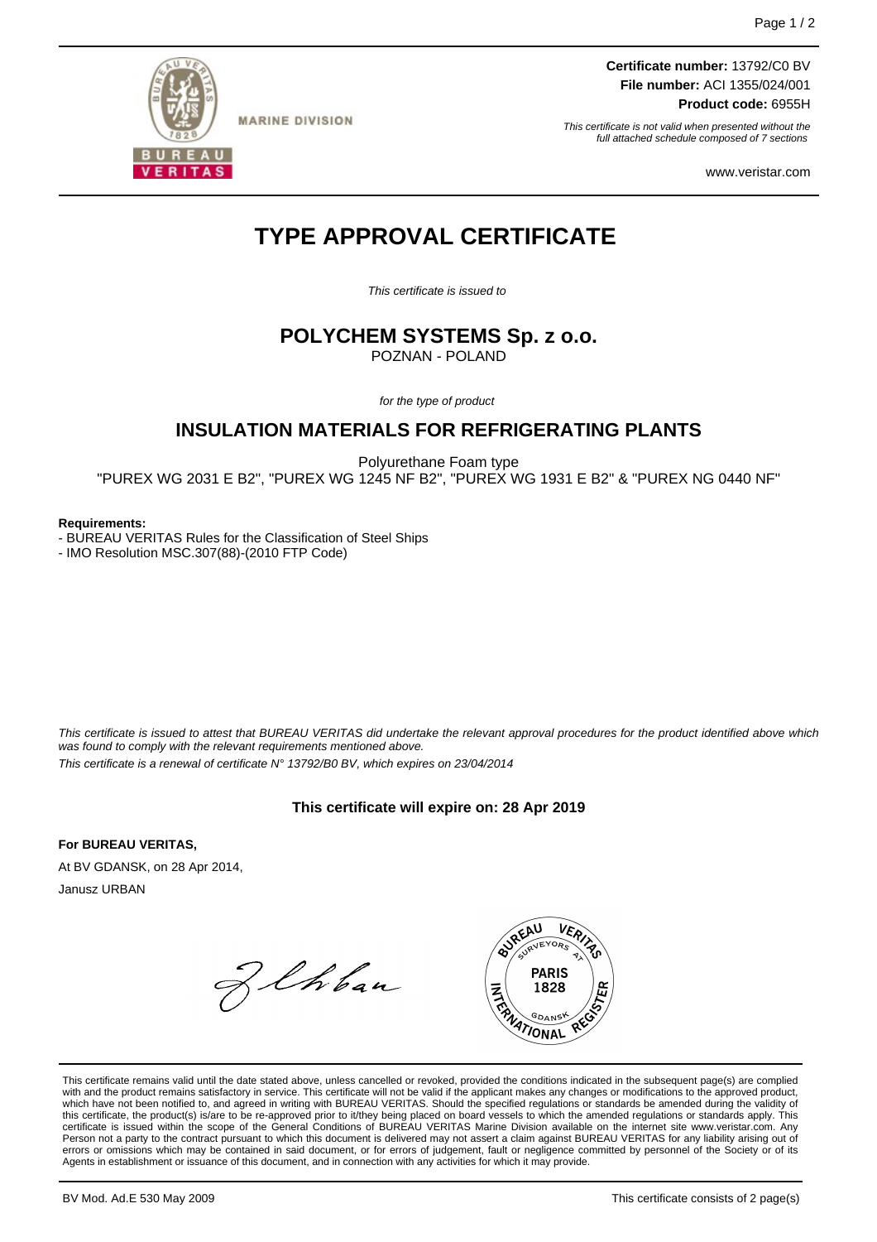

**MARINE DIVISION** 

**Certificate number:** 13792/C0 BV **File number:** ACI 1355/024/001 **Product code:** 6955H

This certificate is not valid when presented without the full attached schedule composed of 7 sections

www.veristar.com

# **TYPE APPROVAL CERTIFICATE**

This certificate is issued to

# **POLYCHEM SYSTEMS Sp. z o.o.**

POZNAN - POLAND

for the type of product

## **INSULATION MATERIALS FOR REFRIGERATING PLANTS**

Polyurethane Foam type

"PUREX WG 2031 E B2", "PUREX WG 1245 NF B2", "PUREX WG 1931 E B2" & "PUREX NG 0440 NF"

#### **Requirements:**

- BUREAU VERITAS Rules for the Classification of Steel Ships

- IMO Resolution MSC.307(88)-(2010 FTP Code)

This certificate is issued to attest that BUREAU VERITAS did undertake the relevant approval procedures for the product identified above which was found to comply with the relevant requirements mentioned above. This certificate is a renewal of certificate N° 13792/B0 BV, which expires on 23/04/2014

**This certificate will expire on: 28 Apr 2019**

**For BUREAU VERITAS,**

At BV GDANSK, on 28 Apr 2014, Janusz URBAN

Zehban



This certificate remains valid until the date stated above, unless cancelled or revoked, provided the conditions indicated in the subsequent page(s) are complied with and the product remains satisfactory in service. This certificate will not be valid if the applicant makes any changes or modifications to the approved product, which have not been notified to, and agreed in writing with BUREAU VERITAS. Should the specified regulations or standards be amended during the validity of this certificate, the product(s) is/are to be re-approved prior to it/they being placed on board vessels to which the amended regulations or standards apply. This<br>certificate is issued within the scope of the General Condi Person not a party to the contract pursuant to which this document is delivered may not assert a claim against BUREAU VERITAS for any liability arising out of errors or omissions which may be contained in said document, or for errors of judgement, fault or negligence committed by personnel of the Society or of its Agents in establishment or issuance of this document, and in connection with any activities for which it may provide.